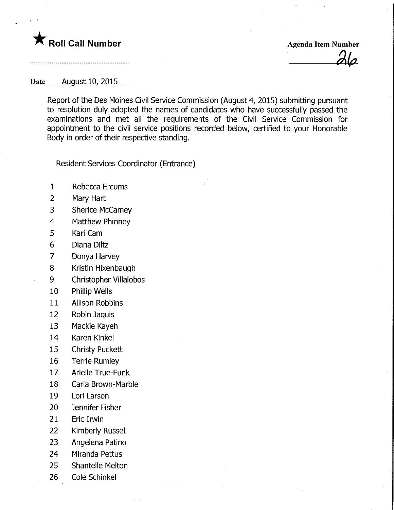# **The Roll Call Number Agents Collection** Agenda Item Number

#### Date...........<u>August.10, 2015</u>

Report of the Des Moines Civil Service Commission (August 4, 2015) submitting pursuant to resolution duly adopted the names of candidates who have successfully passed the examinations and met all the requirements of the Civil Service Commission for appointment to the civil service positions recorded below, certified to your Honorable Body in order of their respective standing.

#### Resident Services Coordinator (Entrance)

- 1 Rebecca Ercums
- 2 Mary Hart
- 3 Sherice McCamey
- 4 Matthew Phinney
- 5 Kari Cam
- 6 Diana Diltz
- 7 Donya Harvey
- 8 Kristin Hixenbaugh
- 9 Christopher Villalobos
- 10 Phillip Wells
- 11 Allison Robbins
- 12 Robin Jaquis
- 13 Mackie Kayeh
- 14 Karen Kinkel
- 15 Christy Puckett
- 16 Terrie Rumley
- 17 Arielle True-Funk
- 18 Carla Brown-Marble
- 19 Lori Larson
- 20 Jennifer Fisher
- 21 Eric Irwin
- 22 Kimberly Russell
- 23 Angelena Patino
- 24 Miranda Pettus
- 25 Shantelle Melton
- 26 Cole Schinkel